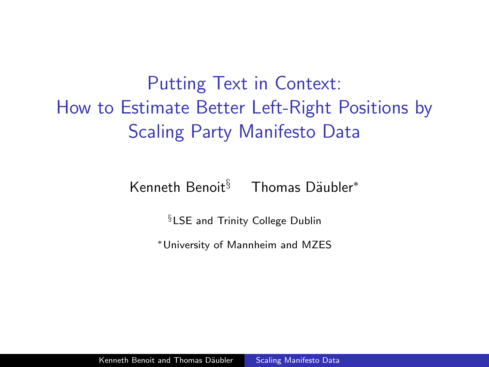Putting Text in Context: How to Estimate Better Left-Right Positions by Scaling Party Manifesto Data

Kenneth Benoit $§$  Thomas Däubler<sup>\*</sup>

§LSE and Trinity College Dublin

<span id="page-0-0"></span><sup>∗</sup>University of Mannheim and MZES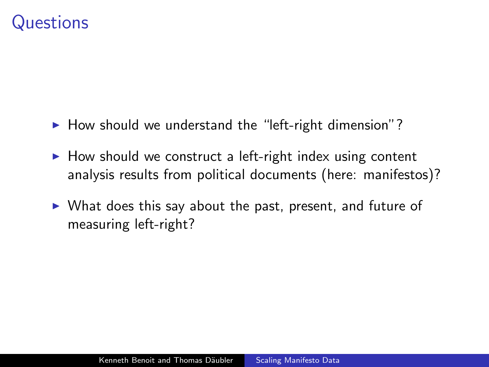#### **Questions**

- $\blacktriangleright$  How should we understand the "left-right dimension"?
- $\triangleright$  How should we construct a left-right index using content analysis results from political documents (here: manifestos)?
- $\triangleright$  What does this say about the past, present, and future of measuring left-right?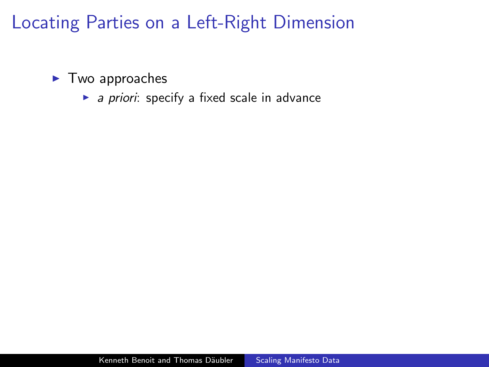$\blacktriangleright$  Two approaches

 $\blacktriangleright$  a priori: specify a fixed scale in advance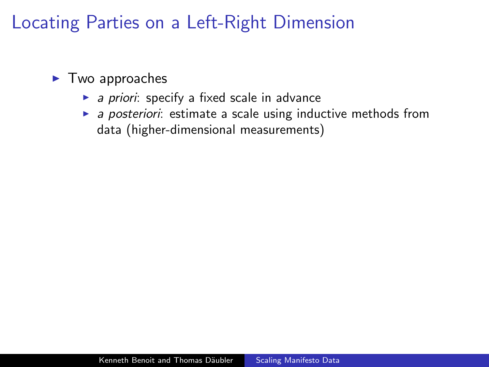- $\blacktriangleright$  Two approaches
	- $\triangleright$  a priori: specify a fixed scale in advance
	- $\triangleright$  a posteriori: estimate a scale using inductive methods from data (higher-dimensional measurements)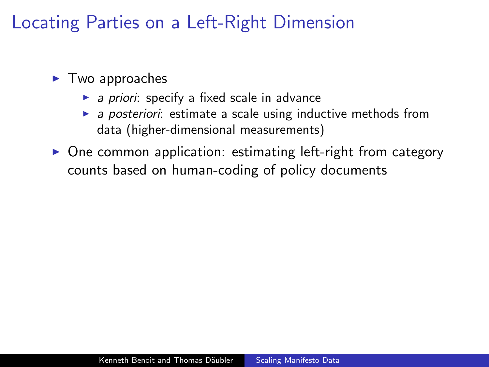- $\blacktriangleright$  Two approaches
	- $\triangleright$  a priori: specify a fixed scale in advance
	- $\triangleright$  a posteriori: estimate a scale using inductive methods from data (higher-dimensional measurements)
- $\triangleright$  One common application: estimating left-right from category counts based on human-coding of policy documents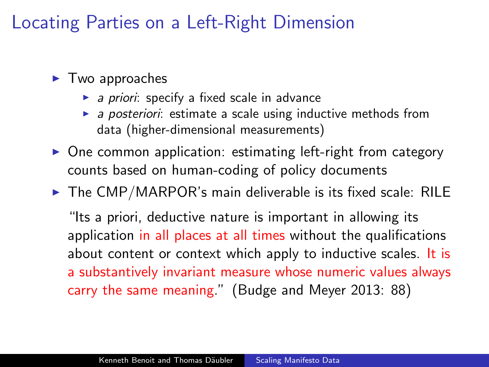- $\blacktriangleright$  Two approaches
	- $\triangleright$  a priori: specify a fixed scale in advance
	- $\triangleright$  a posteriori: estimate a scale using inductive methods from data (higher-dimensional measurements)
- $\triangleright$  One common application: estimating left-right from category counts based on human-coding of policy documents
- $\triangleright$  The CMP/MARPOR's main deliverable is its fixed scale: RILE

"Its a priori, deductive nature is important in allowing its application in all places at all times without the qualifications about content or context which apply to inductive scales. It is a substantively invariant measure whose numeric values always carry the same meaning." (Budge and Meyer 2013: 88)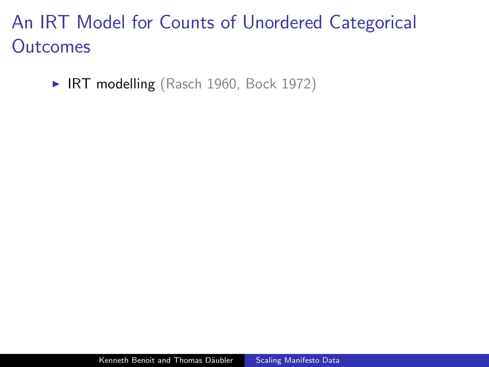# An IRT Model for Counts of Unordered Categorical **Outcomes**

▶ IRT modelling (Rasch 1960, Bock 1972)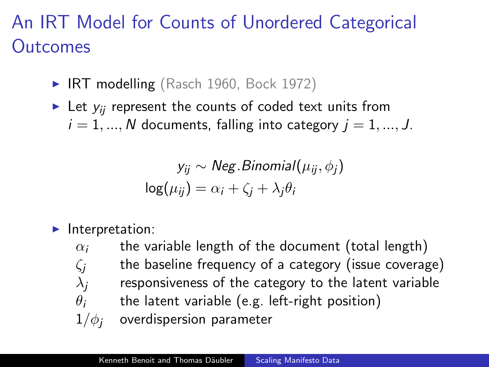# An IRT Model for Counts of Unordered Categorical **Outcomes**

- $\blacktriangleright$  IRT modelling (Rasch 1960, Bock 1972)
- In Let  $y_{ii}$  represent the counts of coded text units from  $i = 1, ..., N$  documents, falling into category  $j = 1, ..., J$ .

$$
y_{ij} \sim Neg.Binomial(\mu_{ij}, \phi_j)
$$

$$
log(\mu_{ij}) = \alpha_i + \zeta_j + \lambda_j \theta_i
$$

Interpretation:

 $\alpha_i$  the variable length of the document (total length)  $\zeta$  the baseline frequency of a category (issue coverage)  $\lambda_i$  responsiveness of the category to the latent variable  $\theta_i$  the latent variable (e.g. left-right position)  $1/\phi_i$  overdispersion parameter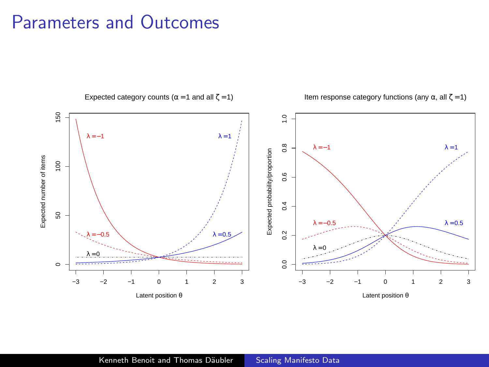#### Parameters and Outcomes

Expected category counts ( $\alpha$  = 1 and all  $\zeta$  = 1) Item response category functions (any  $\alpha$ , all ζ = 1) 150 50 100 150  $\frac{1}{2}$ 0.0 0.2 0.4 0.6 0.8 1.0  $λ = -1$  $λ = 1$  $0.8$  $λ = -1$  $λ = 1$ Expected probability/proportion Expected probability/proportion Expected number of items Expected number of items  $\overline{0}$  $0.6$  $0.4$  ${\tt S0}$  $λ = 0.5$ λ = − 0.5  $0.2$  $λ = 0.5$ λ = − 0.5  $λ =$  $\lambda - 0$  $0.0$  $\circ$ −3 −2 −1 0 1 2 3 −3 −2 −1 0 1 2 3

Latent position θ

Kenneth Benoit and Thomas Däubler [Scaling Manifesto Data](#page-0-0)

Latent position θ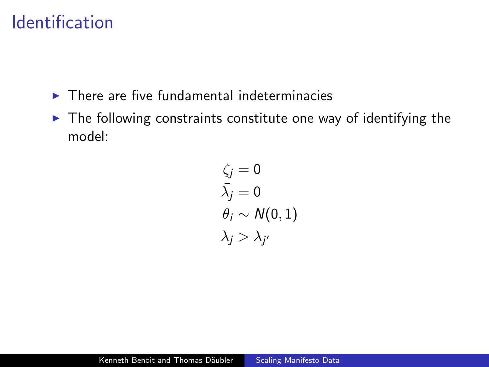# Identification

- $\blacktriangleright$  There are five fundamental indeterminacies
- $\blacktriangleright$  The following constraints constitute one way of identifying the model:

$$
\zeta_j = 0
$$
  
\n
$$
\bar{\lambda}_j = 0
$$
  
\n
$$
\theta_i \sim N(0, 1)
$$
  
\n
$$
\lambda_j > \lambda_{j'}
$$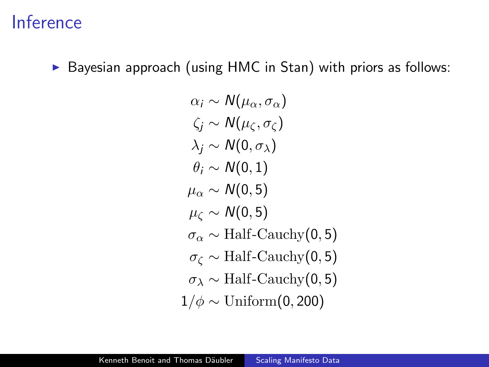### Inference

#### $\triangleright$  Bayesian approach (using HMC in Stan) with priors as follows:

$$
\alpha_i \sim N(\mu_\alpha, \sigma_\alpha)
$$
  
\n
$$
\zeta_j \sim N(\mu_\zeta, \sigma_\zeta)
$$
  
\n
$$
\lambda_j \sim N(0, \sigma_\lambda)
$$
  
\n
$$
\theta_i \sim N(0, 1)
$$
  
\n
$$
\mu_\alpha \sim N(0, 5)
$$
  
\n
$$
\mu_\zeta \sim N(0, 5)
$$
  
\n
$$
\sigma_\alpha \sim \text{Half-Cauchy}(0, 5)
$$
  
\n
$$
\sigma_\zeta \sim \text{Half-Cauchy}(0, 5)
$$
  
\n
$$
\sigma_\lambda \sim \text{Half-Cauchy}(0, 5)
$$
  
\n
$$
1/\phi \sim \text{Uniform}(0, 200)
$$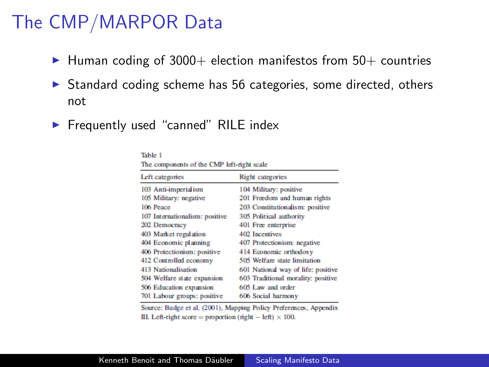# The CMP/MARPOR Data

- $\blacktriangleright$  Human coding of 3000+ election manifestos from 50+ countries
- $\triangleright$  Standard coding scheme has 56 categories, some directed, others not
- $\blacktriangleright$  Frequently used "canned" RILE index

| The components of the CMP left-right scale |                                    |  |  |
|--------------------------------------------|------------------------------------|--|--|
| Left categories                            | <b>Right</b> categories            |  |  |
| 103 Anti-imperialism                       | 104 Military: positive             |  |  |
| 105 Military: negative                     | 201 Freedom and human rights       |  |  |
| 106 Peace                                  | 203 Constitutionalism: positive    |  |  |
| 107 Internationalism: positive             | 305 Political authority            |  |  |
| 202 Democracy                              | 401 Free enterprise                |  |  |
| 403 Market regulation                      | 402 Incentives                     |  |  |
| 404 Economic planning                      | 407 Protectionism: negative        |  |  |
| 406 Protectionism: positive                | 414 Economic orthodoxy             |  |  |
| 412 Controlled economy                     | 505 Welfare state limitation       |  |  |
| 413 Nationalisation                        | 601 National way of life: positive |  |  |
| 504 Welfare state expansion                | 603 Traditional morality: positive |  |  |
| 506 Education expansion                    | 605 Law and order                  |  |  |
| 701 Labour groups: positive                | 606 Social harmony                 |  |  |

Table 1

Source: Budge et al. (2001), Mapping Policy Preferences, Appendix III. Left-right score = proportion (right - left)  $\times$  100.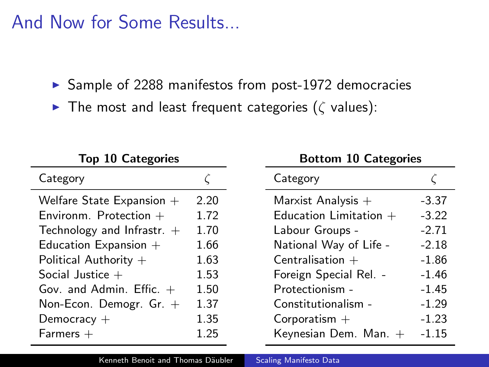And Now for Some Results...

 $\triangleright$  Sample of 2288 manifestos from post-1972 democracies

 $\blacktriangleright$  The most and least frequent categories ( $\zeta$  values):

| <b>Top 10 Categories</b>     |      | <b>Bottom 10 Categories</b> |         |  |
|------------------------------|------|-----------------------------|---------|--|
| Category                     |      | Category                    |         |  |
| Welfare State Expansion $+$  | 2.20 | Marxist Analysis $+$        | $-3.37$ |  |
| Environm. Protection $+$     | 1.72 | Education Limitation $+$    | $-3.22$ |  |
| Technology and Infrastr. $+$ | 1.70 | Labour Groups -             | $-2.71$ |  |
| Education Expansion $+$      | 1.66 | National Way of Life -      | $-2.18$ |  |
| Political Authority $+$      | 1.63 | Centralisation $+$          | $-1.86$ |  |
| Social Justice $+$           | 1.53 | Foreign Special Rel. -      | $-1.46$ |  |
| Gov. and Admin. Effic. $+$   | 1.50 | Protectionism -             | $-1.45$ |  |
| Non-Econ. Demogr. $Gr. +$    | 1.37 | Constitutionalism -         | $-1.29$ |  |
| Democracy $+$                | 1.35 | Corporatism $+$             | $-1.23$ |  |
| $Farmers +$                  | 1.25 | Keynesian Dem. Man. $+$     | $-1.15$ |  |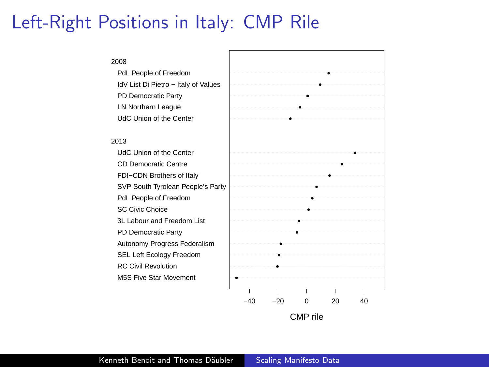### Left-Right Positions in Italy: CMP Rile

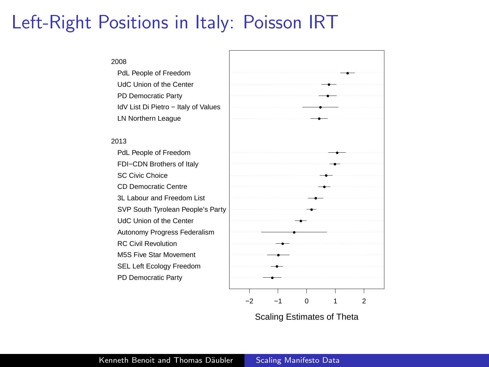### Left-Right Positions in Italy: Poisson IRT



Scaling Estimates of Theta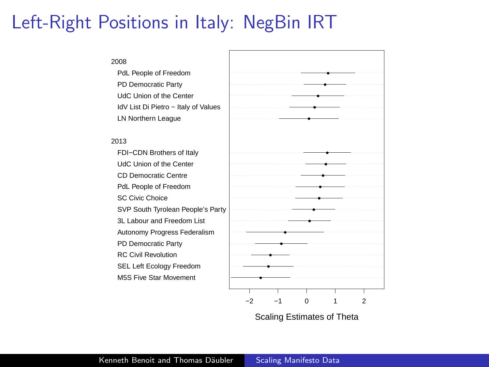# Left-Right Positions in Italy: NegBin IRT



Scaling Estimates of Theta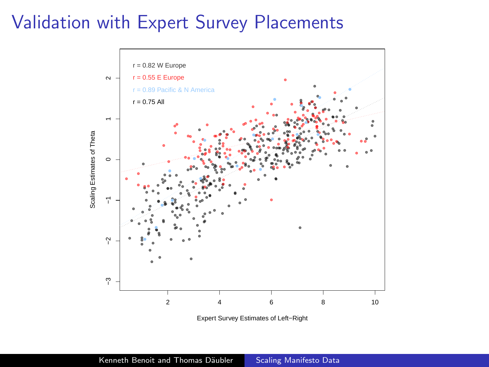### Validation with Expert Survey Placements



Expert Survey Estimates of Left−Right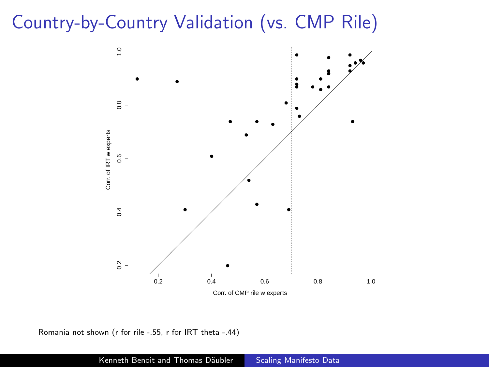# Country-by-Country Validation (vs. CMP Rile)



Romania not shown (r for rile -.55, r for IRT theta -.44)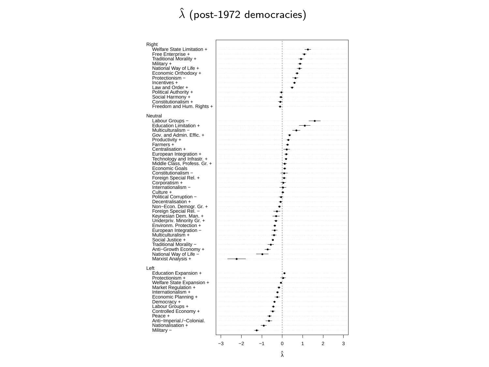#### $\hat{\lambda}$  (post-1972 democracies)

| Right<br>Welfare State Limitation +<br>Free Enterprise +<br>Traditional Morality +<br>Military +<br>National Way of Life +<br>Economic Orthodoxy +<br>Protectionism -<br>Incentives +<br>Law and Order +<br>Political Authority +<br>Social Harmony +                                                                                                                                                                                                                                                                                                                                                                                                       |                           |                                                |
|-------------------------------------------------------------------------------------------------------------------------------------------------------------------------------------------------------------------------------------------------------------------------------------------------------------------------------------------------------------------------------------------------------------------------------------------------------------------------------------------------------------------------------------------------------------------------------------------------------------------------------------------------------------|---------------------------|------------------------------------------------|
| Constitutionalism +<br>Freedom and Hum. Rights +                                                                                                                                                                                                                                                                                                                                                                                                                                                                                                                                                                                                            |                           |                                                |
| Neutral<br>Labour Groups -<br>Education Limitation +<br>Multiculturalism -<br>Gov. and Admin. Effic. +<br>Productivity +<br>Farmers +<br>Centralisation +<br>European Integration +<br>Technology and Infrastr. +<br>Middle Class, Profess, Gr. +<br>Fconomic Goals<br>Constitutionalism -<br>Foreign Special Rel. +<br>Corporatism +<br>Internationalism -<br>Culture +<br>Political Corruption -<br>Decentralisation +<br>Non-Econ. Demogr. Gr. +<br>Foreign Special Rel. -<br>Kevnesian Dem. Man. +<br>Underpriv. Minority Gr. +<br>Environm. Protection +<br>European Integration -<br>Multiculturalism +<br>Social Justice +<br>Traditional Morality - | ÷.                        | i.                                             |
| Anti-Growth Economy +<br>National Way of Life -                                                                                                                                                                                                                                                                                                                                                                                                                                                                                                                                                                                                             |                           |                                                |
| Marxist Analysis +<br>l eft<br>Education Expansion +<br>Protectionism +<br>Welfare State Expansion +<br>Market Regulation +<br>Internationalism +<br>Economic Planning +<br>Democracy +<br>Labour Groups +<br>Controlled Economy +<br>Peace +<br>Anti-Imperial./-Colonial.<br>Nationalisation +<br>Military -                                                                                                                                                                                                                                                                                                                                               | $-3$<br>$-2$<br>$-1$<br>Ō | $\overline{\mathbf{3}}$<br>1<br>$\mathfrak{p}$ |
|                                                                                                                                                                                                                                                                                                                                                                                                                                                                                                                                                                                                                                                             |                           |                                                |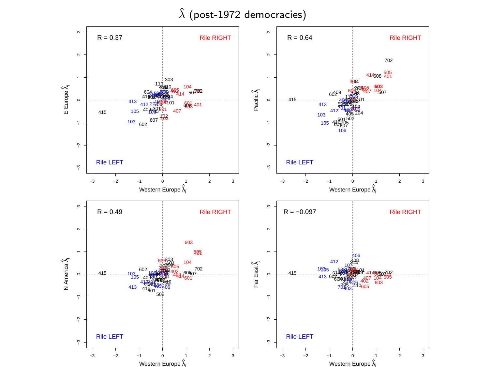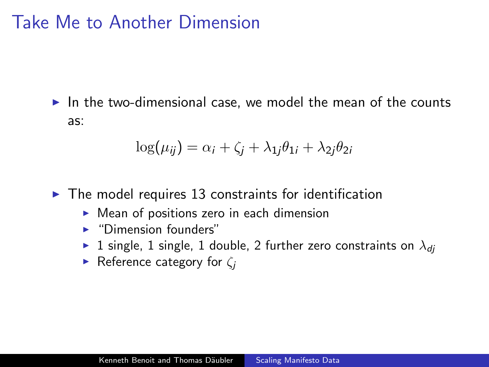### Take Me to Another Dimension

 $\triangleright$  In the two-dimensional case, we model the mean of the counts as:

$$
\log(\mu_{ij}) = \alpha_i + \zeta_j + \lambda_{1j}\theta_{1i} + \lambda_{2j}\theta_{2i}
$$

- $\blacktriangleright$  The model requires 13 constraints for identification
	- $\triangleright$  Mean of positions zero in each dimension
	- $\blacktriangleright$  "Dimension founders"
	- ► 1 single, 1 single, 1 double, 2 further zero constraints on  $\lambda_{di}$
	- **Figure Reference category for**  $\zeta_i$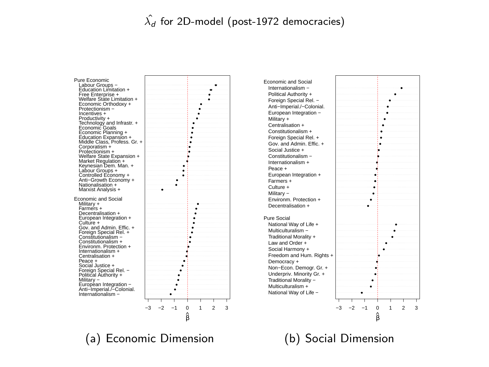#### $\hat{\lambda_d}$  for 2D-model (post-1972 democracies)

Internationalism − Anti−Imperial./−Colonial. European Integration − Military − Political Authority + Foreign Special Rel. − Social Justice + Peace + Centralisation + Internationalism + Environm. Protection + Constitutionalism + Constitutionalism − Foreign Special Rel. + Gov. and Admin. Effic. + Culture + European Integration + Decentralisation + Farmers + Military + Economic and Social Nationalisation +<br>Marxist Analysis + Anti−Growth Economy + Controlled Economy + Labour Groups + Keynesian Dem. Man. + Market Regulation + Welfare State Expansion + Protectionism + Corporatism + Middle Class, Profess. Gr. + Education Expansion + Economic Planning + Economic Goals Technology and Infrastr. + Productivity + Incentives + Welfare State Limitation +<br>Economic Orthodoxy +<br>Protectionism − Free Enterprise + Education Limitation + Labour Groups − Pure Economic





(a) Economic Dimension

(b) Social Dimension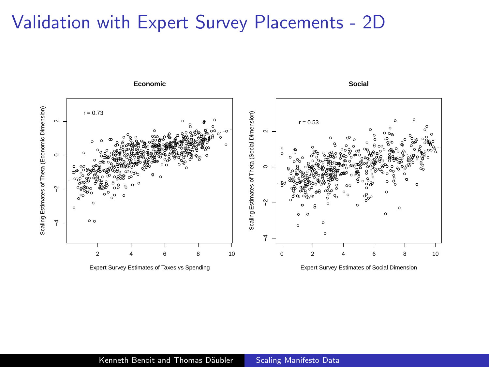#### Validation with Expert Survey Placements - 2D

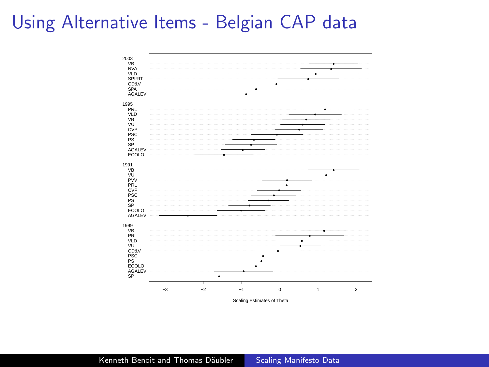# Using Alternative Items - Belgian CAP data



Scaling Estimates of Theta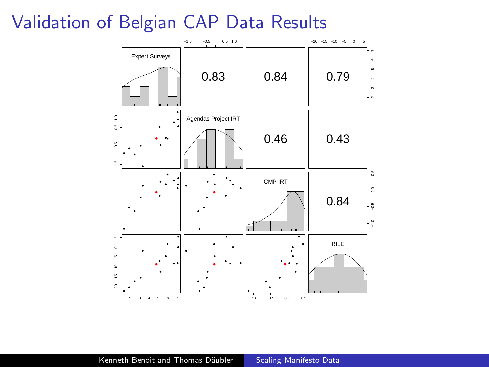#### Validation of Belgian CAP Data Results

<span id="page-24-0"></span>